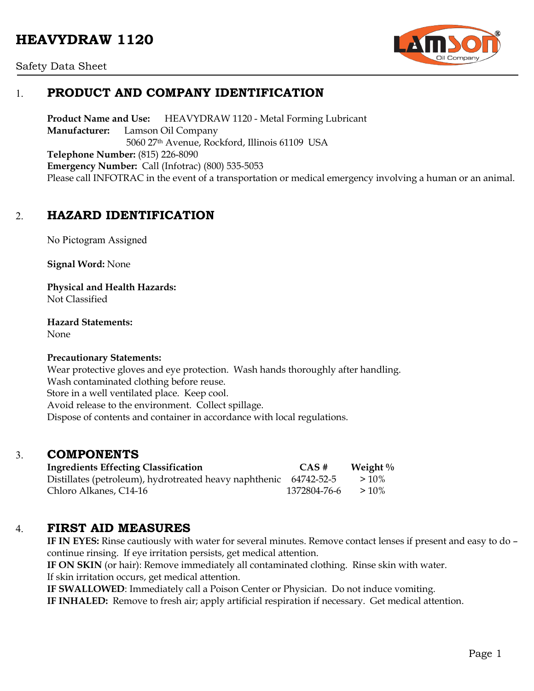# **HEAVYDRAW 1120**



### Safety Data Sheet

# 1. **PRODUCT AND COMPANY IDENTIFICATION**

**Product Name and Use:** HEAVYDRAW 1120 - Metal Forming Lubricant **Manufacturer:** Lamson Oil Company 5060 27th Avenue, Rockford, Illinois 61109 USA **Telephone Number:** (815) 226-8090 **Emergency Number:** Call (Infotrac) (800) 535-5053 Please call INFOTRAC in the event of a transportation or medical emergency involving a human or an animal.

## 2. **HAZARD IDENTIFICATION**

No Pictogram Assigned

**Signal Word:** None

**Physical and Health Hazards:** Not Classified

**Hazard Statements:** 

None

### **Precautionary Statements:**

Wear protective gloves and eye protection. Wash hands thoroughly after handling. Wash contaminated clothing before reuse. Store in a well ventilated place. Keep cool. Avoid release to the environment. Collect spillage. Dispose of contents and container in accordance with local regulations.

### 3. **COMPONENTS**

| <b>Ingredients Effecting Classification</b>                       | CAS #        | Weight $\%$ |
|-------------------------------------------------------------------|--------------|-------------|
| Distillates (petroleum), hydrotreated heavy naphthenic 64742-52-5 |              | $>10\%$     |
| Chloro Alkanes, C14-16                                            | 1372804-76-6 | $>10\%$     |

### 4. **FIRST AID MEASURES**

**IF IN EYES:** Rinse cautiously with water for several minutes. Remove contact lenses if present and easy to do – continue rinsing. If eye irritation persists, get medical attention.

**IF ON SKIN** (or hair): Remove immediately all contaminated clothing. Rinse skin with water.

If skin irritation occurs, get medical attention.

**IF SWALLOWED**: Immediately call a Poison Center or Physician. Do not induce vomiting.

**IF INHALED:** Remove to fresh air; apply artificial respiration if necessary. Get medical attention.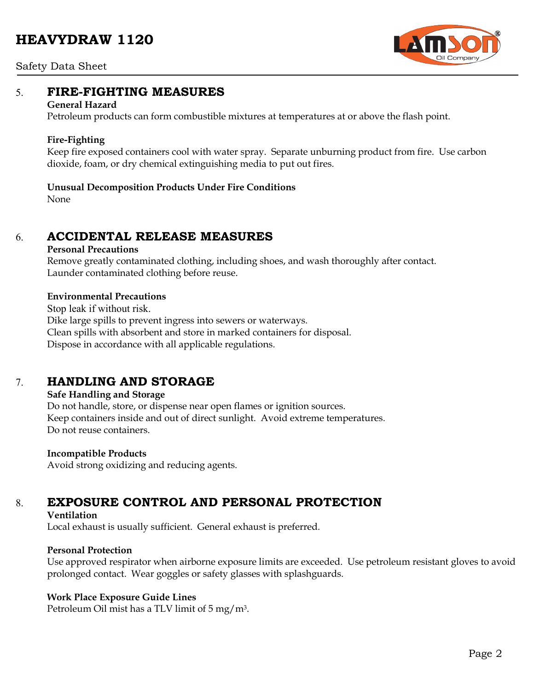# **HEAVYDRAW 1120**



#### Safety Data Sheet

### 5. **FIRE-FIGHTING MEASURES**

#### **General Hazard**

Petroleum products can form combustible mixtures at temperatures at or above the flash point.

### **Fire-Fighting**

Keep fire exposed containers cool with water spray. Separate unburning product from fire. Use carbon dioxide, foam, or dry chemical extinguishing media to put out fires.

### **Unusual Decomposition Products Under Fire Conditions**

None

### 6. **ACCIDENTAL RELEASE MEASURES**

### **Personal Precautions**

Remove greatly contaminated clothing, including shoes, and wash thoroughly after contact. Launder contaminated clothing before reuse.

### **Environmental Precautions**

Stop leak if without risk. Dike large spills to prevent ingress into sewers or waterways. Clean spills with absorbent and store in marked containers for disposal. Dispose in accordance with all applicable regulations.

## 7. **HANDLING AND STORAGE**

### **Safe Handling and Storage**

Do not handle, store, or dispense near open flames or ignition sources. Keep containers inside and out of direct sunlight. Avoid extreme temperatures. Do not reuse containers.

### **Incompatible Products**

Avoid strong oxidizing and reducing agents.

# 8. **EXPOSURE CONTROL AND PERSONAL PROTECTION**

### **Ventilation**

Local exhaust is usually sufficient. General exhaust is preferred.

### **Personal Protection**

Use approved respirator when airborne exposure limits are exceeded. Use petroleum resistant gloves to avoid prolonged contact. Wear goggles or safety glasses with splashguards.

### **Work Place Exposure Guide Lines**

Petroleum Oil mist has a TLV limit of 5 mg/m3.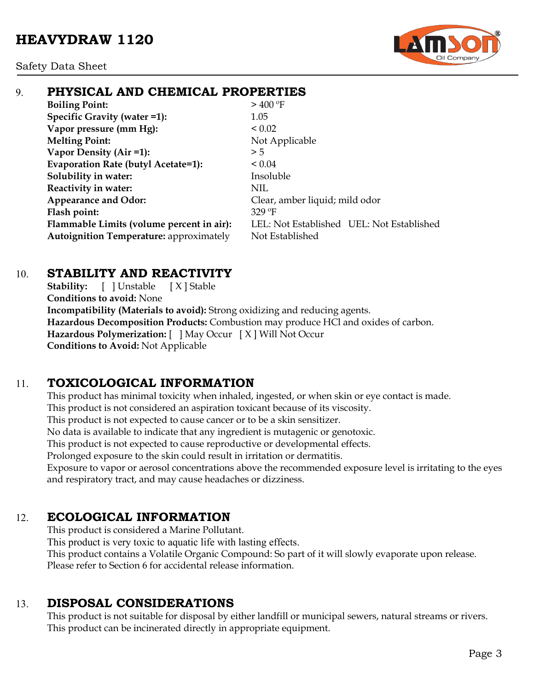

# 9. **PHYSICAL AND CHEMICAL PROPERTIES**

**Boiling Point:**  $> 400^{\circ}$ F **Specific Gravity (water =1):** 1.05 **Vapor pressure (mm Hg):**  $< 0.02$ **Melting Point:** Not Applicable **Vapor Density (Air =1):**  $>5$ **Evaporation Rate (butyl Acetate=1):** < 0.04 **Solubility in water:** Insoluble **Reactivity in water:** NIL Appearance and Odor: Clear, amber liquid; mild odor **Flash point:** 329 ºF Autoignition Temperature: approximately Not Established

**Flammable Limits (volume percent in air):** LEL: Not Established UEL: Not Established

## 10. **STABILITY AND REACTIVITY**

**Stability:** [ ] Unstable [ X ] Stable **Conditions to avoid:** None **Incompatibility (Materials to avoid):** Strong oxidizing and reducing agents. **Hazardous Decomposition Products:** Combustion may produce HCl and oxides of carbon. **Hazardous Polymerization:** [ ] May Occur [ X ] Will Not Occur **Conditions to Avoid:** Not Applicable

# 11. **TOXICOLOGICAL INFORMATION**

This product has minimal toxicity when inhaled, ingested, or when skin or eye contact is made. This product is not considered an aspiration toxicant because of its viscosity. This product is not expected to cause cancer or to be a skin sensitizer. No data is available to indicate that any ingredient is mutagenic or genotoxic. This product is not expected to cause reproductive or developmental effects. Prolonged exposure to the skin could result in irritation or dermatitis. Exposure to vapor or aerosol concentrations above the recommended exposure level is irritating to the eyes

and respiratory tract, and may cause headaches or dizziness.

# 12. **ECOLOGICAL INFORMATION**

This product is considered a Marine Pollutant. This product is very toxic to aquatic life with lasting effects. This product contains a Volatile Organic Compound: So part of it will slowly evaporate upon release. Please refer to Section 6 for accidental release information.

# 13. **DISPOSAL CONSIDERATIONS**

This product is not suitable for disposal by either landfill or municipal sewers, natural streams or rivers. This product can be incinerated directly in appropriate equipment.